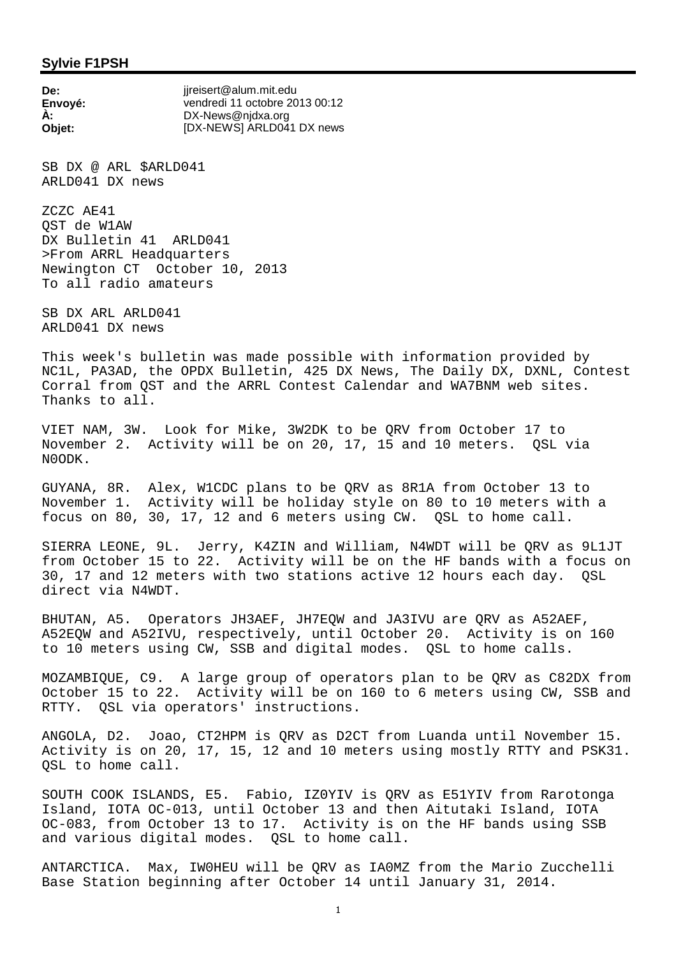## **Sylvie F1PSH**

**De:** ijreisert@alum.mit.edu **Envoyé:** vendredi 11 octobre 2013 00:12 **À:** DX-News@njdxa.org **Objet:** [DX-NEWS] ARLD041 DX news

SB DX @ ARL \$ARLD041 ARLD041 DX news

ZCZC AE41 QST de W1AW DX Bulletin 41 ARLD041 >From ARRL Headquarters Newington CT October 10, 2013 To all radio amateurs

SB DX ARL ARLD041 ARLD041 DX news

This week's bulletin was made possible with information provided by NC1L, PA3AD, the OPDX Bulletin, 425 DX News, The Daily DX, DXNL, Contest Corral from QST and the ARRL Contest Calendar and WA7BNM web sites. Thanks to all.

VIET NAM, 3W. Look for Mike, 3W2DK to be QRV from October 17 to November 2. Activity will be on 20, 17, 15 and 10 meters. QSL via N0ODK.

GUYANA, 8R. Alex, W1CDC plans to be QRV as 8R1A from October 13 to November 1. Activity will be holiday style on 80 to 10 meters with a focus on 80, 30, 17, 12 and 6 meters using CW. QSL to home call.

SIERRA LEONE, 9L. Jerry, K4ZIN and William, N4WDT will be QRV as 9L1JT from October 15 to 22. Activity will be on the HF bands with a focus on 30, 17 and 12 meters with two stations active 12 hours each day. QSL direct via N4WDT.

BHUTAN, A5. Operators JH3AEF, JH7EQW and JA3IVU are QRV as A52AEF, A52EQW and A52IVU, respectively, until October 20. Activity is on 160 to 10 meters using CW, SSB and digital modes. QSL to home calls.

MOZAMBIQUE, C9. A large group of operators plan to be QRV as C82DX from October 15 to 22. Activity will be on 160 to 6 meters using CW, SSB and RTTY. QSL via operators' instructions.

ANGOLA, D2. Joao, CT2HPM is QRV as D2CT from Luanda until November 15. Activity is on 20, 17, 15, 12 and 10 meters using mostly RTTY and PSK31. OSL to home call.

SOUTH COOK ISLANDS, E5. Fabio, IZ0YIV is QRV as E51YIV from Rarotonga Island, IOTA OC-013, until October 13 and then Aitutaki Island, IOTA OC-083, from October 13 to 17. Activity is on the HF bands using SSB and various digital modes. QSL to home call.

ANTARCTICA. Max, IW0HEU will be QRV as IA0MZ from the Mario Zucchelli Base Station beginning after October 14 until January 31, 2014.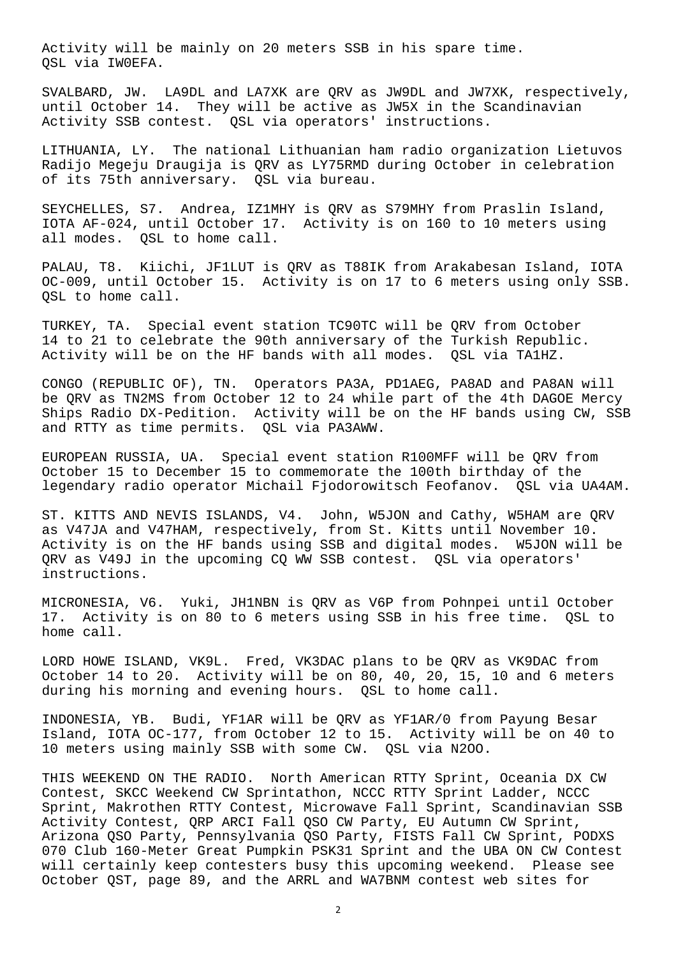Activity will be mainly on 20 meters SSB in his spare time. QSL via IW0EFA.

SVALBARD, JW. LA9DL and LA7XK are QRV as JW9DL and JW7XK, respectively, until October 14. They will be active as JW5X in the Scandinavian Activity SSB contest. QSL via operators' instructions.

LITHUANIA, LY. The national Lithuanian ham radio organization Lietuvos Radijo Megeju Draugija is QRV as LY75RMD during October in celebration of its 75th anniversary. QSL via bureau.

SEYCHELLES, S7. Andrea, IZ1MHY is QRV as S79MHY from Praslin Island, IOTA AF-024, until October 17. Activity is on 160 to 10 meters using all modes. QSL to home call.

PALAU, T8. Kiichi, JF1LUT is QRV as T88IK from Arakabesan Island, IOTA OC-009, until October 15. Activity is on 17 to 6 meters using only SSB. QSL to home call.

TURKEY, TA. Special event station TC90TC will be QRV from October 14 to 21 to celebrate the 90th anniversary of the Turkish Republic. Activity will be on the HF bands with all modes. QSL via TA1HZ.

CONGO (REPUBLIC OF), TN. Operators PA3A, PD1AEG, PA8AD and PA8AN will be QRV as TN2MS from October 12 to 24 while part of the 4th DAGOE Mercy Ships Radio DX-Pedition. Activity will be on the HF bands using CW, SSB and RTTY as time permits. QSL via PA3AWW.

EUROPEAN RUSSIA, UA. Special event station R100MFF will be QRV from October 15 to December 15 to commemorate the 100th birthday of the legendary radio operator Michail Fjodorowitsch Feofanov. QSL via UA4AM.

ST. KITTS AND NEVIS ISLANDS, V4. John, W5JON and Cathy, W5HAM are QRV as V47JA and V47HAM, respectively, from St. Kitts until November 10. Activity is on the HF bands using SSB and digital modes. W5JON will be QRV as V49J in the upcoming CQ WW SSB contest. QSL via operators' instructions.

MICRONESIA, V6. Yuki, JH1NBN is QRV as V6P from Pohnpei until October 17. Activity is on 80 to 6 meters using SSB in his free time. QSL to home call.

LORD HOWE ISLAND, VK9L. Fred, VK3DAC plans to be QRV as VK9DAC from October 14 to 20. Activity will be on 80, 40, 20, 15, 10 and 6 meters during his morning and evening hours. QSL to home call.

INDONESIA, YB. Budi, YF1AR will be QRV as YF1AR/0 from Payung Besar Island, IOTA OC-177, from October 12 to 15. Activity will be on 40 to 10 meters using mainly SSB with some CW. QSL via N2OO.

THIS WEEKEND ON THE RADIO. North American RTTY Sprint, Oceania DX CW Contest, SKCC Weekend CW Sprintathon, NCCC RTTY Sprint Ladder, NCCC Sprint, Makrothen RTTY Contest, Microwave Fall Sprint, Scandinavian SSB Activity Contest, QRP ARCI Fall QSO CW Party, EU Autumn CW Sprint, Arizona QSO Party, Pennsylvania QSO Party, FISTS Fall CW Sprint, PODXS 070 Club 160-Meter Great Pumpkin PSK31 Sprint and the UBA ON CW Contest will certainly keep contesters busy this upcoming weekend. Please see October QST, page 89, and the ARRL and WA7BNM contest web sites for